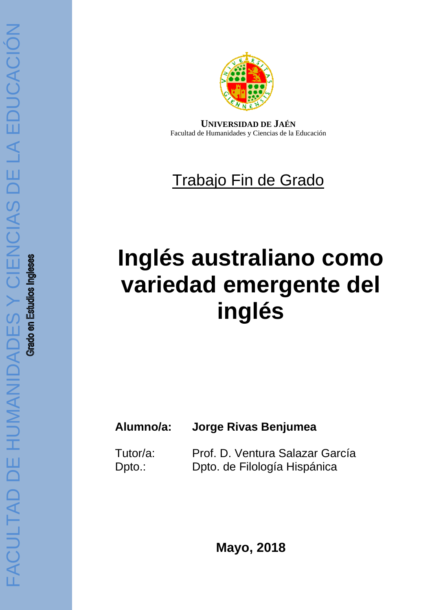

**UNIVERSIDAD DE JAÉN** Facultad de Humanidades y Ciencias de la Educación

## Trabajo Fin de Grado

# **Inglés australiano como variedad emergente del inglés**

## **Alumno/a: Jorge Rivas Benjumea**

Tutor/a: Prof. D. Ventura Salazar García Dpto.: Dpto. de Filología Hispánica

**Mayo, 2018**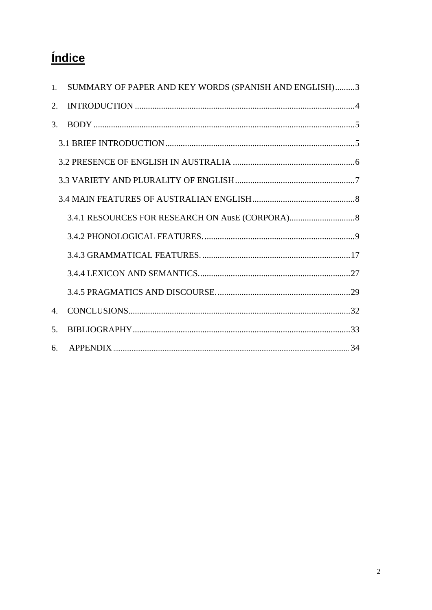## *<u>Índice</u>*

| $1_{-}$        | SUMMARY OF PAPER AND KEY WORDS (SPANISH AND ENGLISH)3 |
|----------------|-------------------------------------------------------|
| 2.             |                                                       |
| 3.             |                                                       |
|                |                                                       |
|                |                                                       |
|                |                                                       |
|                |                                                       |
|                |                                                       |
|                |                                                       |
|                |                                                       |
|                |                                                       |
|                |                                                       |
| $\mathbf{4}$ . |                                                       |
| .5.            |                                                       |
| 6.             |                                                       |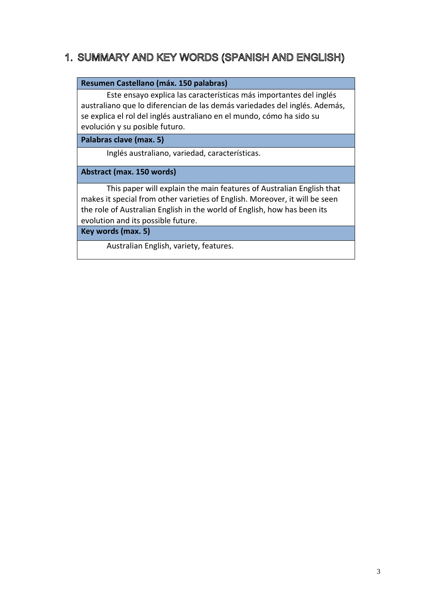## 1. SUMMARY AND KEY WORDS (SPANISH AND ENGLISH)

#### **Resumen Castellano (máx. 150 palabras)**

Este ensayo explica las características más importantes del inglés australiano que lo diferencian de las demás variedades del inglés. Además, se explica el rol del inglés australiano en el mundo, cómo ha sido su evolución y su posible futuro.

**Palabras clave (max. 5)**

Inglés australiano, variedad, características.

**Abstract (max. 150 words)**

This paper will explain the main features of Australian English that makes it special from other varieties of English. Moreover, it will be seen the role of Australian English in the world of English, how has been its evolution and its possible future.

**Key words (max. 5)**

Australian English, variety, features.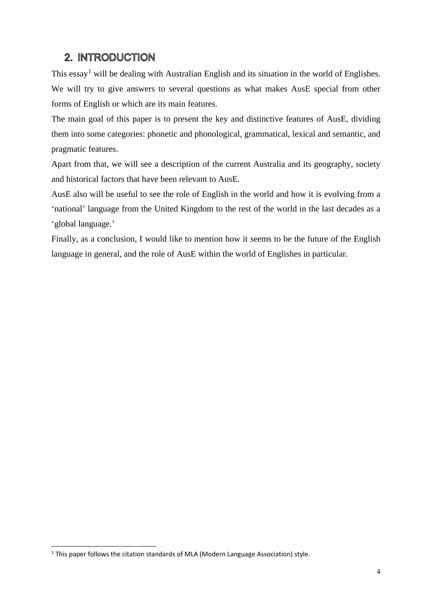## 2. INTRODUCTION

This essay<sup>[1](#page-3-0)</sup> will be dealing with Australian English and its situation in the world of Englishes. We will try to give answers to several questions as what makes AusE special from other forms of English or which are its main features.

The main goal of this paper is to present the key and distinctive features of AusE, dividing them into some categories: phonetic and phonological, grammatical, lexical and semantic, and pragmatic features.

Apart from that, we will see a description of the current Australia and its geography, society and historical factors that have been relevant to AusE.

AusE also will be useful to see the role of English in the world and how it is evolving from a 'national' language from the United Kingdom to the rest of the world in the last decades as a 'global language.'

Finally, as a conclusion, I would like to mention how it seems to be the future of the English language in general, and the role of AusE within the world of Englishes in particular.

-

<span id="page-3-0"></span><sup>&</sup>lt;sup>1</sup> This paper follows the citation standards of MLA (Modern Language Association) style.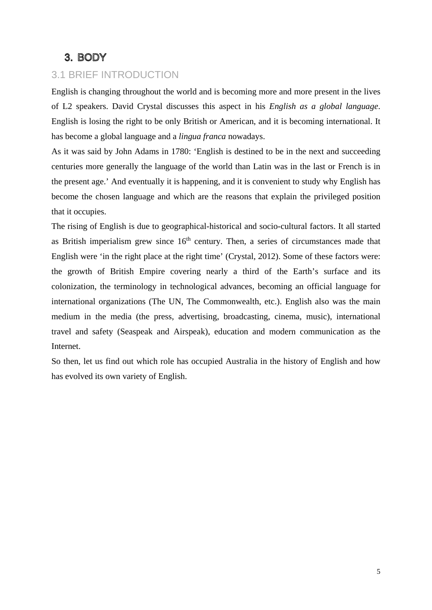## 3. BODY

## 3.1 BRIEF INTRODUCTION

English is changing throughout the world and is becoming more and more present in the lives of L2 speakers. David Crystal discusses this aspect in his *English as a global language*. English is losing the right to be only British or American, and it is becoming international. It has become a global language and a *lingua franca* nowadays.

As it was said by John Adams in 1780: 'English is destined to be in the next and succeeding centuries more generally the language of the world than Latin was in the last or French is in the present age.' And eventually it is happening, and it is convenient to study why English has become the chosen language and which are the reasons that explain the privileged position that it occupies.

The rising of English is due to geographical-historical and socio-cultural factors. It all started as British imperialism grew since  $16<sup>th</sup>$  century. Then, a series of circumstances made that English were 'in the right place at the right time' (Crystal, 2012). Some of these factors were: the growth of British Empire covering nearly a third of the Earth's surface and its colonization, the terminology in technological advances, becoming an official language for international organizations (The UN, The Commonwealth, etc.). English also was the main medium in the media (the press, advertising, broadcasting, cinema, music), international travel and safety (Seaspeak and Airspeak), education and modern communication as the Internet.

So then, let us find out which role has occupied Australia in the history of English and how has evolved its own variety of English.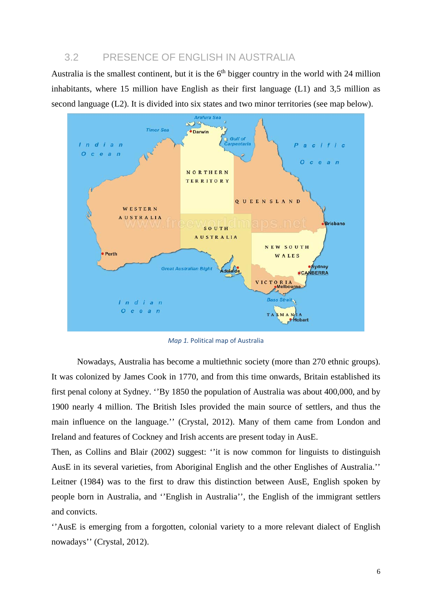### 3.2 PRESENCE OF ENGLISH IN AUSTRALIA

Australia is the smallest continent, but it is the  $6<sup>th</sup>$  bigger country in the world with 24 million inhabitants, where 15 million have English as their first language (L1) and 3,5 million as second language (L2). It is divided into six states and two minor territories (see map below).



*Map 1.* Political map of Australia

Nowadays, Australia has become a multiethnic society (more than 270 ethnic groups). It was colonized by James Cook in 1770, and from this time onwards, Britain established its first penal colony at Sydney. ''By 1850 the population of Australia was about 400,000, and by 1900 nearly 4 million. The British Isles provided the main source of settlers, and thus the main influence on the language.'' (Crystal, 2012). Many of them came from London and Ireland and features of Cockney and Irish accents are present today in AusE.

Then, as Collins and Blair (2002) suggest: ''it is now common for linguists to distinguish AusE in its several varieties, from Aboriginal English and the other Englishes of Australia.'' Leitner (1984) was to the first to draw this distinction between AusE, English spoken by people born in Australia, and ''English in Australia'', the English of the immigrant settlers and convicts.

''AusE is emerging from a forgotten, colonial variety to a more relevant dialect of English nowadays'' (Crystal, 2012).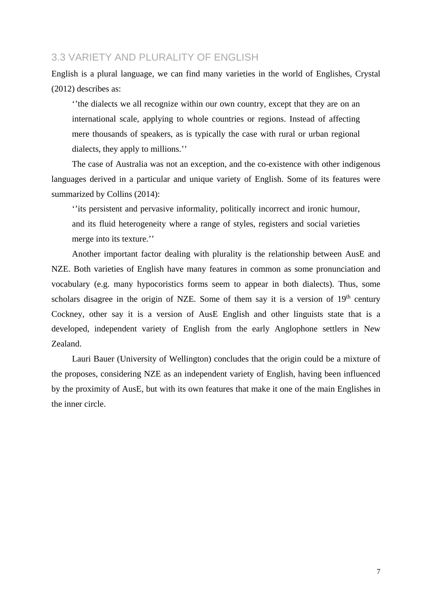#### 3.3 VARIETY AND PLURALITY OF ENGLISH

English is a plural language, we can find many varieties in the world of Englishes, Crystal (2012) describes as:

''the dialects we all recognize within our own country, except that they are on an international scale, applying to whole countries or regions. Instead of affecting mere thousands of speakers, as is typically the case with rural or urban regional dialects, they apply to millions.''

The case of Australia was not an exception, and the co-existence with other indigenous languages derived in a particular and unique variety of English. Some of its features were summarized by Collins (2014):

''its persistent and pervasive informality, politically incorrect and ironic humour, and its fluid heterogeneity where a range of styles, registers and social varieties merge into its texture.''

Another important factor dealing with plurality is the relationship between AusE and NZE. Both varieties of English have many features in common as some pronunciation and vocabulary (e.g. many hypocoristics forms seem to appear in both dialects). Thus, some scholars disagree in the origin of NZE. Some of them say it is a version of  $19<sup>th</sup>$  century Cockney, other say it is a version of AusE English and other linguists state that is a developed, independent variety of English from the early Anglophone settlers in New Zealand.

Lauri Bauer (University of Wellington) concludes that the origin could be a mixture of the proposes, considering NZE as an independent variety of English, having been influenced by the proximity of AusE, but with its own features that make it one of the main Englishes in the inner circle.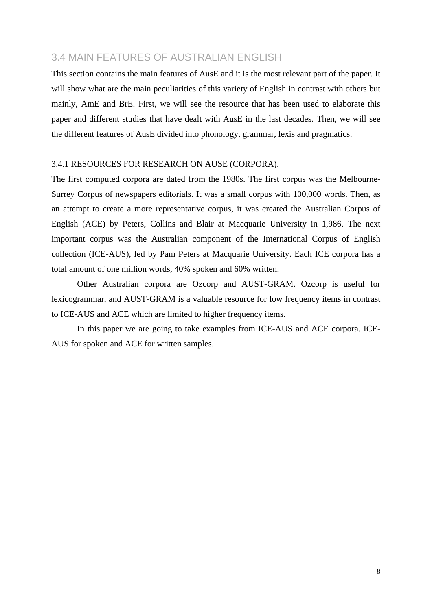### 3.4 MAIN FEATURES OF AUSTRALIAN ENGLISH

This section contains the main features of AusE and it is the most relevant part of the paper. It will show what are the main peculiarities of this variety of English in contrast with others but mainly, AmE and BrE. First, we will see the resource that has been used to elaborate this paper and different studies that have dealt with AusE in the last decades. Then, we will see the different features of AusE divided into phonology, grammar, lexis and pragmatics.

#### 3.4.1 RESOURCES FOR RESEARCH ON AUSE (CORPORA).

The first computed corpora are dated from the 1980s. The first corpus was the Melbourne-Surrey Corpus of newspapers editorials. It was a small corpus with 100,000 words. Then, as an attempt to create a more representative corpus, it was created the Australian Corpus of English (ACE) by Peters, Collins and Blair at Macquarie University in 1,986. The next important corpus was the Australian component of the International Corpus of English collection (ICE-AUS), led by Pam Peters at Macquarie University. Each ICE corpora has a total amount of one million words, 40% spoken and 60% written.

Other Australian corpora are Ozcorp and AUST-GRAM. Ozcorp is useful for lexicogrammar, and AUST-GRAM is a valuable resource for low frequency items in contrast to ICE-AUS and ACE which are limited to higher frequency items.

In this paper we are going to take examples from ICE-AUS and ACE corpora. ICE-AUS for spoken and ACE for written samples.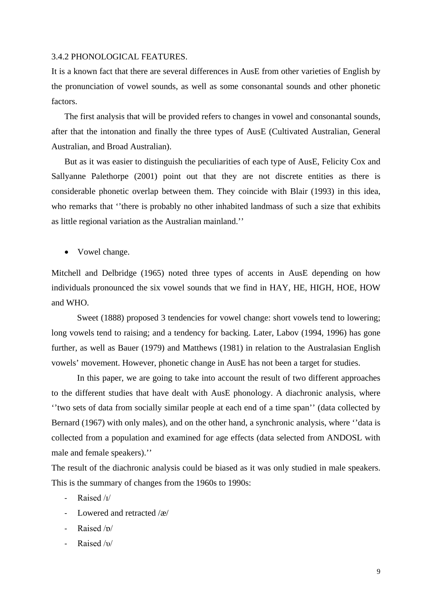#### 3.4.2 PHONOLOGICAL FEATURES.

It is a known fact that there are several differences in AusE from other varieties of English by the pronunciation of vowel sounds, as well as some consonantal sounds and other phonetic factors.

The first analysis that will be provided refers to changes in vowel and consonantal sounds, after that the intonation and finally the three types of AusE (Cultivated Australian, General Australian, and Broad Australian).

But as it was easier to distinguish the peculiarities of each type of AusE, Felicity Cox and Sallyanne Palethorpe (2001) point out that they are not discrete entities as there is considerable phonetic overlap between them. They coincide with Blair (1993) in this idea, who remarks that ''there is probably no other inhabited landmass of such a size that exhibits as little regional variation as the Australian mainland.''

• Vowel change.

Mitchell and Delbridge (1965) noted three types of accents in AusE depending on how individuals pronounced the six vowel sounds that we find in HAY, HE, HIGH, HOE, HOW and WHO.

Sweet (1888) proposed 3 tendencies for vowel change: short vowels tend to lowering; long vowels tend to raising; and a tendency for backing. Later, Labov (1994, 1996) has gone further, as well as Bauer (1979) and Matthews (1981) in relation to the Australasian English vowels' movement. However, phonetic change in AusE has not been a target for studies.

In this paper, we are going to take into account the result of two different approaches to the different studies that have dealt with AusE phonology. A diachronic analysis, where ''two sets of data from socially similar people at each end of a time span'' (data collected by Bernard (1967) with only males), and on the other hand, a synchronic analysis, where "data is collected from a population and examined for age effects (data selected from ANDOSL with male and female speakers).''

The result of the diachronic analysis could be biased as it was only studied in male speakers. This is the summary of changes from the 1960s to 1990s:

- Raised /ɪ/
- Lowered and retracted /æ/
- Raised /p/
- Raised /υ/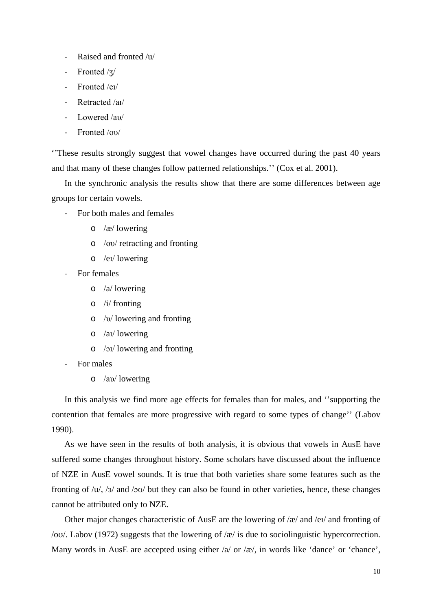- Raised and fronted /u/
- Fronted /ʒ/
- Fronted /eɪ/
- Retracted /aɪ/
- Lowered /aυ/
- Fronted /oυ/

''These results strongly suggest that vowel changes have occurred during the past 40 years and that many of these changes follow patterned relationships.'' (Cox et al. 2001).

In the synchronic analysis the results show that there are some differences between age groups for certain vowels.

- For both males and females
	- o /æ/ lowering
	- o /oυ/ retracting and fronting
	- o /eɪ/ lowering
- For females
	- o /a/ lowering
	- o /i/ fronting
	- o /υ/ lowering and fronting
	- o /aɪ/ lowering
	- o /ɔɪ/ lowering and fronting
- For males
	- o /aυ/ lowering

In this analysis we find more age effects for females than for males, and ''supporting the contention that females are more progressive with regard to some types of change'' (Labov 1990).

As we have seen in the results of both analysis, it is obvious that vowels in AusE have suffered some changes throughout history. Some scholars have discussed about the influence of NZE in AusE vowel sounds. It is true that both varieties share some features such as the fronting of /u/, /ɜ/ and /ɔʊ/ but they can also be found in other varieties, hence, these changes cannot be attributed only to NZE.

Other major changes characteristic of AusE are the lowering of /æ/ and /eɪ/ and fronting of /oʊ/. Labov (1972) suggests that the lowering of /æ/ is due to sociolinguistic hypercorrection. Many words in AusE are accepted using either  $\alpha$  or  $\alpha$ , in words like 'dance' or 'chance',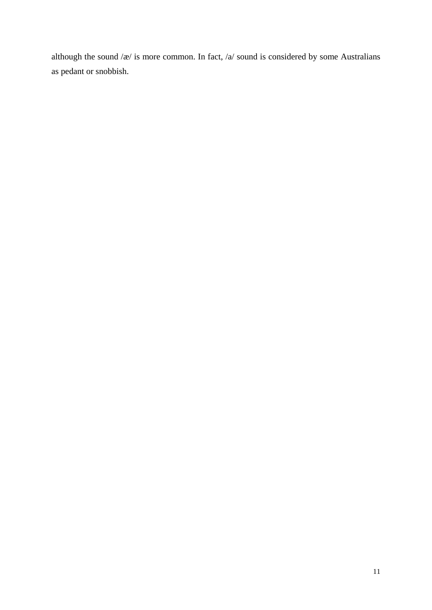although the sound  $\alpha$  is more common. In fact,  $\alpha$  sound is considered by some Australians as pedant or snobbish.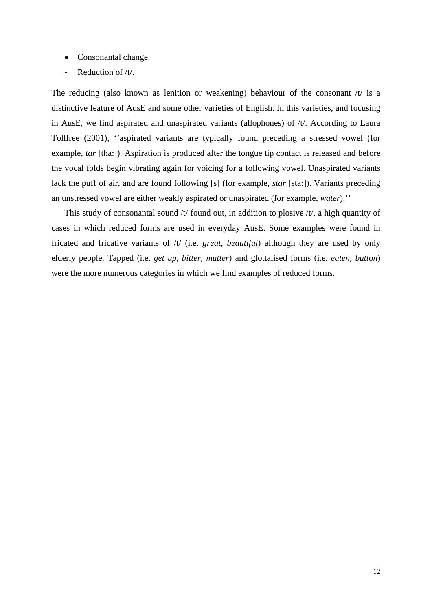- Consonantal change.
- Reduction of /t/.

The reducing (also known as lenition or weakening) behaviour of the consonant  $/t/$  is a distinctive feature of AusE and some other varieties of English. In this varieties, and focusing in AusE, we find aspirated and unaspirated variants (allophones) of /t/. According to Laura Tollfree (2001), ''aspirated variants are typically found preceding a stressed vowel (for example, *tar* [tha:]). Aspiration is produced after the tongue tip contact is released and before the vocal folds begin vibrating again for voicing for a following vowel. Unaspirated variants lack the puff of air, and are found following [s] (for example, *star* [sta:]). Variants preceding an unstressed vowel are either weakly aspirated or unaspirated (for example, *water*).''

This study of consonantal sound  $/t$  found out, in addition to plosive  $/t$ , a high quantity of cases in which reduced forms are used in everyday AusE. Some examples were found in fricated and fricative variants of /t/ (i.e. *great, beautiful*) although they are used by only elderly people. Tapped (i.e. *get up, bitter, mutter*) and glottalised forms (i.e. *eaten, button*) were the more numerous categories in which we find examples of reduced forms.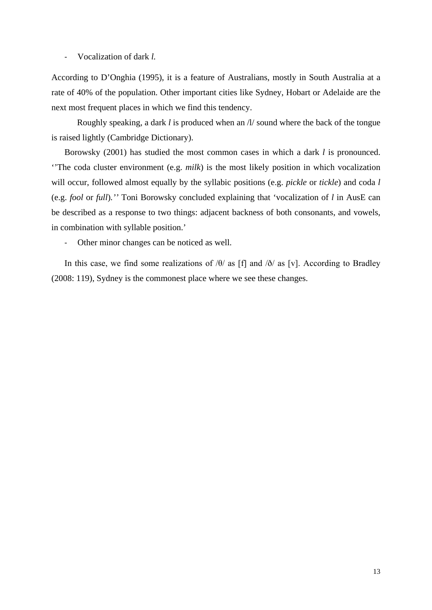- Vocalization of dark *l.* 

According to D'Onghia (1995), it is a feature of Australians, mostly in South Australia at a rate of 40% of the population. Other important cities like Sydney, Hobart or Adelaide are the next most frequent places in which we find this tendency.

Roughly speaking, a dark *l* is produced when an /l/ sound where the back of the tongue is raised lightly (Cambridge Dictionary).

Borowsky (2001) has studied the most common cases in which a dark *l* is pronounced. ''The coda cluster environment (e.g. *milk*) is the most likely position in which vocalization will occur, followed almost equally by the syllabic positions (e.g. *pickle* or *tickle*) and coda *l*  (e.g. *fool* or *full*)*.''* Toni Borowsky concluded explaining that 'vocalization of *l* in AusE can be described as a response to two things: adjacent backness of both consonants, and vowels, in combination with syllable position.'

- Other minor changes can be noticed as well.

In this case, we find some realizations of  $/θ$  as [f] and  $/δ$  as [v]. According to Bradley (2008: 119), Sydney is the commonest place where we see these changes.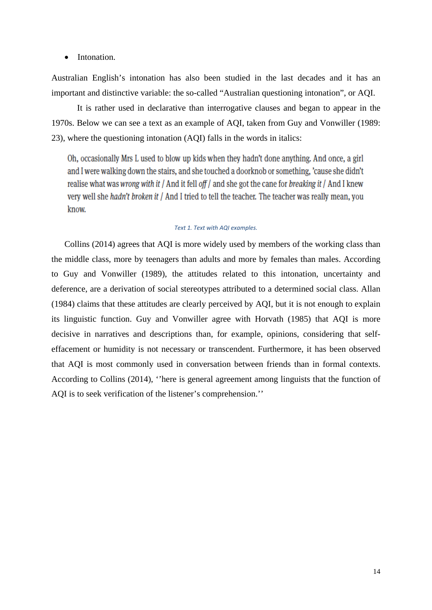#### • Intonation.

Australian English's intonation has also been studied in the last decades and it has an important and distinctive variable: the so-called "Australian questioning intonation", or AQI.

It is rather used in declarative than interrogative clauses and began to appear in the 1970s. Below we can see a text as an example of AQI, taken from Guy and Vonwiller (1989: 23), where the questioning intonation (AQI) falls in the words in italics:

Oh, occasionally Mrs L used to blow up kids when they hadn't done anything. And once, a girl and I were walking down the stairs, and she touched a doorknob or something, 'cause she didn't realise what was wrong with it / And it fell of  $f$  and she got the cane for breaking it / And I knew very well she hadn't broken it / And I tried to tell the teacher. The teacher was really mean, you know.

#### *Text 1. Text with AQI examples.*

Collins (2014) agrees that AQI is more widely used by members of the working class than the middle class, more by teenagers than adults and more by females than males. According to Guy and Vonwiller (1989), the attitudes related to this intonation, uncertainty and deference, are a derivation of social stereotypes attributed to a determined social class. Allan (1984) claims that these attitudes are clearly perceived by AQI, but it is not enough to explain its linguistic function. Guy and Vonwiller agree with Horvath (1985) that AQI is more decisive in narratives and descriptions than, for example, opinions, considering that selfeffacement or humidity is not necessary or transcendent. Furthermore, it has been observed that AQI is most commonly used in conversation between friends than in formal contexts. According to Collins (2014), ''here is general agreement among linguists that the function of AQI is to seek verification of the listener's comprehension.''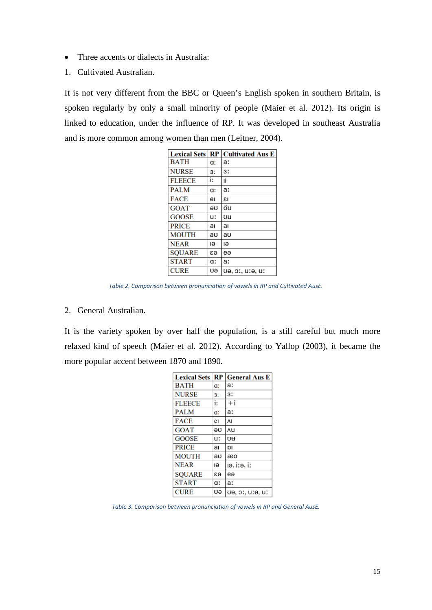- Three accents or dialects in Australia:
- 1. Cultivated Australian.

It is not very different from the BBC or Queen's English spoken in southern Britain, is spoken regularly by only a small minority of people (Maier et al. 2012). Its origin is linked to education, under the influence of RP. It was developed in southeast Australia and is more common among women than men (Leitner, 2004).

| <b>Lexical Sets</b> | RP | <b>Cultivated Aus E</b> |
|---------------------|----|-------------------------|
| <b>BATH</b>         | a: | a:                      |
| <b>NURSE</b>        | 3: | 3:                      |
| <b>FLEECE</b>       | i: | ıi                      |
| <b>PALM</b>         | a: | a:                      |
| <b>FACE</b>         | eı | ٤I                      |
| <b>GOAT</b>         | θU | öu                      |
| <b>GOOSE</b>        | u: | ิบน                     |
| <b>PRICE</b>        | aı | aı                      |
| <b>MOUTH</b>        | au | au                      |
| <b>NEAR</b>         | ıә | ıθ                      |
| <b>SOUARE</b>       | ea | eə                      |
| <b>START</b>        | a: | a:                      |
| <b>CURE</b>         | Uə | ue, pr, ure, ur         |

*Table 2. Comparison between pronunciation of vowels in RP and Cultivated AusE.*

2. General Australian.

It is the variety spoken by over half the population, is a still careful but much more relaxed kind of speech (Maier et al. 2012). According to Yallop (2003), it became the more popular accent between 1870 and 1890.

| <b>Lexical Sets</b> | RP | <b>General Aus E</b> |
|---------------------|----|----------------------|
| <b>BATH</b>         | Œ. | a:                   |
| <b>NURSE</b>        | 3: | 3:                   |
| <b>FLEECE</b>       | i: | $+ i$                |
| <b>PALM</b>         | Œ. | a:                   |
| <b>FACE</b>         | eı | ٨I                   |
| <b>GOAT</b>         | θU | ΛH                   |
| <b>GOOSE</b>        | u: | UH                   |
| <b>PRICE</b>        | aı | DI                   |
| <b>MOUTH</b>        | au | æo                   |
| <b>NEAR</b>         | ıә | ıə, i:ə, i:          |
| <b>SOUARE</b>       | ea | eə                   |
| <b>START</b>        | a: | a:                   |
| <b>CURE</b>         | υə | uə, pr. urə, ur      |

*Table 3. Comparison between pronunciation of vowels in RP and General AusE.*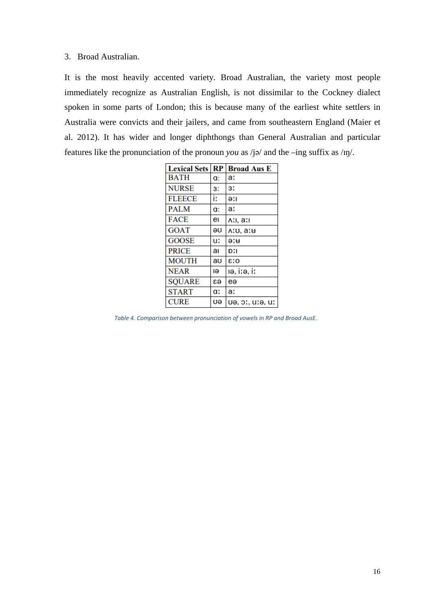#### 3. Broad Australian.

It is the most heavily accented variety. Broad Australian, the variety most people immediately recognize as Australian English, is not dissimilar to the Cockney dialect spoken in some parts of London; this is because many of the earliest white settlers in Australia were convicts and their jailers, and came from southeastern England (Maier et al. 2012). It has wider and longer diphthongs than General Australian and particular features like the pronunciation of the pronoun *you* as /jə/ and the –ing suffix as /ɪŋ/.

| <b>Lexical Sets</b> | $\mathbf{RP}$ | <b>Broad Aus E</b> |
|---------------------|---------------|--------------------|
| <b>BATH</b>         | a:            | a:                 |
| <b>NURSE</b>        | 3:            | 3:                 |
| <b>FLEECE</b>       | i:            | ə:ı                |
| <b>PALM</b>         | a:            | a:                 |
| <b>FACE</b>         | eı            | A:ı, a:ı           |
| <b>GOAT</b>         | θU            | ۵:u, a:            |
| <b>GOOSE</b>        | u:            | ə:u                |
| <b>PRICE</b>        | aı            | D:I                |
| <b>MOUTH</b>        | au            | 0:3                |
| <b>NEAR</b>         | Ιə            | iə, i:ə, i:        |
| <b>SQUARE</b>       | ea            | eə                 |
| <b>START</b>        | a:            | a:                 |
| <b>CURE</b>         | υə            | uə, pr., ur. ur.   |

*Table 4. Comparison between pronunciation of vowels in RP and Broad AusE.*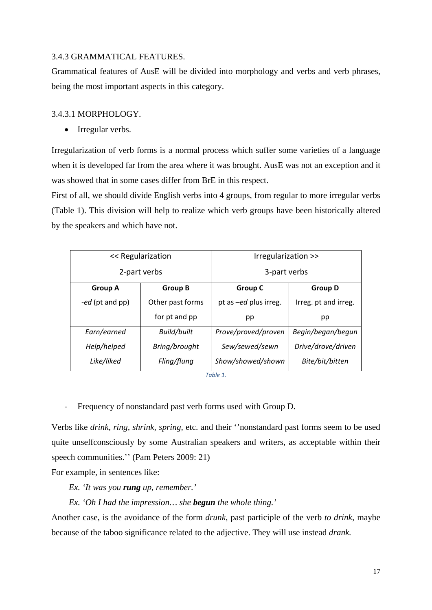#### 3.4.3 GRAMMATICAL FEATURES.

Grammatical features of AusE will be divided into morphology and verbs and verb phrases, being the most important aspects in this category.

#### 3.4.3.1 MORPHOLOGY.

• Irregular verbs.

Irregularization of verb forms is a normal process which suffer some varieties of a language when it is developed far from the area where it was brought. AusE was not an exception and it was showed that in some cases differ from BrE in this respect.

First of all, we should divide English verbs into 4 groups, from regular to more irregular verbs (Table 1). This division will help to realize which verb groups have been historically altered by the speakers and which have not.

| << Regularization |                    | Irregularization >>   |                      |
|-------------------|--------------------|-----------------------|----------------------|
| 2-part verbs      |                    | 3-part verbs          |                      |
| <b>Group A</b>    | <b>Group B</b>     | <b>Group C</b>        | <b>Group D</b>       |
| -ed (pt and pp)   | Other past forms   | pt as -ed plus irreg. | Irreg. pt and irreg. |
|                   | for pt and pp      | pp                    | pp                   |
| Earn/earned       | <b>Build/built</b> | Prove/proved/proven   | Begin/began/begun    |
| Help/helped       | Bring/brought      | Sew/sewed/sewn        | Drive/drove/driven   |
| Like/liked        | Fling/flung        | Show/showed/shown     | Bite/bit/bitten      |

*Table 1.*

- Frequency of nonstandard past verb forms used with Group D.

Verbs like *drink, ring, shrink, spring,* etc. and their ''nonstandard past forms seem to be used quite unselfconsciously by some Australian speakers and writers, as acceptable within their speech communities." (Pam Peters 2009: 21)

For example, in sentences like:

*Ex. 'It was you rung up, remember.'*

*Ex. 'Oh I had the impression… she begun the whole thing.'* 

Another case, is the avoidance of the form *drunk*, past participle of the verb *to drink*, maybe because of the taboo significance related to the adjective. They will use instead *drank.*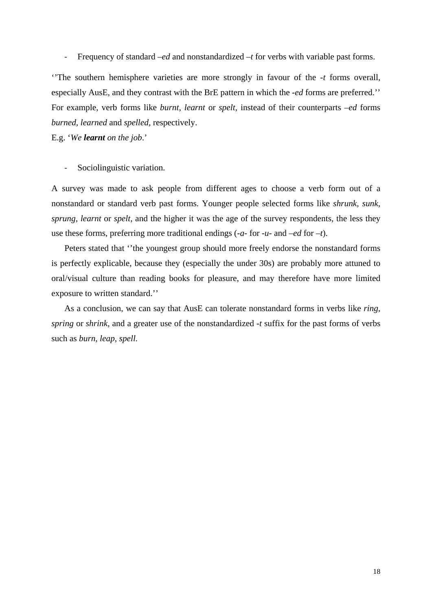- Frequency of standard –*ed* and nonstandardized *–t* for verbs with variable past forms.

''The southern hemisphere varieties are more strongly in favour of the *-t* forms overall, especially AusE, and they contrast with the BrE pattern in which the -*ed* forms are preferred.'' For example, verb forms like *burnt, learnt* or *spelt,* instead of their counterparts *–ed* forms *burned, learned* and *spelled,* respectively.

E.g. '*We learnt on the job*.'

- Sociolinguistic variation.

A survey was made to ask people from different ages to choose a verb form out of a nonstandard or standard verb past forms. Younger people selected forms like *shrunk, sunk, sprung, learnt* or *spelt,* and the higher it was the age of the survey respondents, the less they use these forms, preferring more traditional endings (-*a-* for *-u-* and –*ed* for –*t*).

Peters stated that ''the youngest group should more freely endorse the nonstandard forms is perfectly explicable, because they (especially the under 30s) are probably more attuned to oral/visual culture than reading books for pleasure, and may therefore have more limited exposure to written standard.''

As a conclusion, we can say that AusE can tolerate nonstandard forms in verbs like *ring, spring* or *shrink,* and a greater use of the nonstandardized *-t* suffix for the past forms of verbs such as *burn, leap, spell.*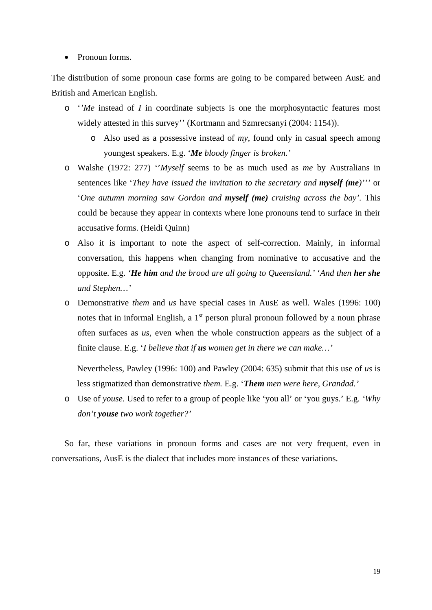#### • Pronoun forms.

The distribution of some pronoun case forms are going to be compared between AusE and British and American English.

- o '*'Me* instead of *I* in coordinate subjects is one the morphosyntactic features most widely attested in this survey'' (Kortmann and Szmrecsanyi (2004: 1154)).
	- o Also used as a possessive instead of *my*, found only in casual speech among youngest speakers. E.g. '*Me bloody finger is broken.'*
- o Walshe (1972: 277) ''*Myself* seems to be as much used as *me* by Australians in sentences like '*They have issued the invitation to the secretary and myself (me)'''* or '*One autumn morning saw Gordon and myself (me) cruising across the bay'.* This could be because they appear in contexts where lone pronouns tend to surface in their accusative forms. (Heidi Quinn)
- o Also it is important to note the aspect of self-correction. Mainly, in informal conversation, this happens when changing from nominative to accusative and the opposite. E.g. *'He him and the brood are all going to Queensland.'* '*And then her she and Stephen…'*
- o Demonstrative *them* and *us* have special cases in AusE as well. Wales (1996: 100) notes that in informal English, a 1<sup>st</sup> person plural pronoun followed by a noun phrase often surfaces as *us*, even when the whole construction appears as the subject of a finite clause. E.g. '*I believe that if us women get in there we can make…'*

Nevertheless, Pawley (1996: 100) and Pawley (2004: 635) submit that this use of *us* is less stigmatized than demonstrative *them.* E.g. '*Them men were here, Grandad.'*

o Use of *youse.* Used to refer to a group of people like 'you all' or 'you guys.' E.g. *'Why don't youse two work together?'*

So far, these variations in pronoun forms and cases are not very frequent, even in conversations, AusE is the dialect that includes more instances of these variations.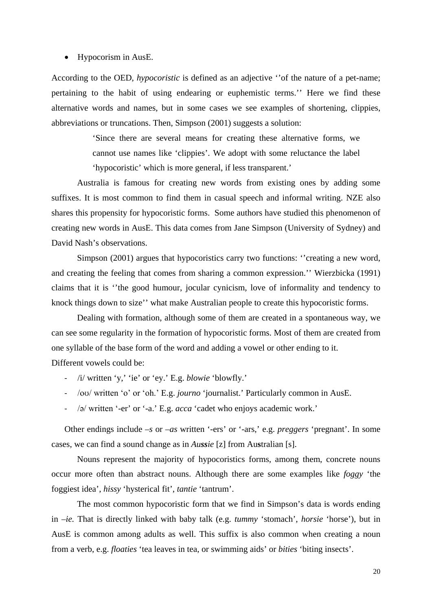#### • Hypocorism in AusE.

According to the OED, *hypocoristic* is defined as an adjective ''of the nature of a pet-name; pertaining to the habit of using endearing or euphemistic terms.'' Here we find these alternative words and names, but in some cases we see examples of shortening, clippies, abbreviations or truncations. Then, Simpson (2001) suggests a solution:

> 'Since there are several means for creating these alternative forms, we cannot use names like 'clippies'. We adopt with some reluctance the label 'hypocoristic' which is more general, if less transparent.'

Australia is famous for creating new words from existing ones by adding some suffixes. It is most common to find them in casual speech and informal writing. NZE also shares this propensity for hypocoristic forms. Some authors have studied this phenomenon of creating new words in AusE. This data comes from Jane Simpson (University of Sydney) and David Nash's observations.

Simpson (2001) argues that hypocoristics carry two functions: ''creating a new word, and creating the feeling that comes from sharing a common expression.'' Wierzbicka (1991) claims that it is ''the good humour, jocular cynicism, love of informality and tendency to knock things down to size'' what make Australian people to create this hypocoristic forms.

Dealing with formation, although some of them are created in a spontaneous way, we can see some regularity in the formation of hypocoristic forms. Most of them are created from one syllable of the base form of the word and adding a vowel or other ending to it. Different vowels could be:

- /i/ written 'y,' 'ie' or 'ey.' E.g. *blowie* 'blowfly.'
- /oʊ/ written 'o' or 'oh.' E.g. *journo* 'journalist.' Particularly common in AusE.
- /ə/ written '-er' or '-a.' E.g. *acca* 'cadet who enjoys academic work.'

Other endings include –*s* or –*as* written '-ers' or '-ars,' e.g. *preggers* 'pregnant'. In some cases, we can find a sound change as in *Aussie* [z] from Au**s**tralian [s].

Nouns represent the majority of hypocoristics forms, among them, concrete nouns occur more often than abstract nouns. Although there are some examples like *foggy* 'the foggiest idea', *hissy* 'hysterical fit', *tantie* 'tantrum'.

The most common hypocoristic form that we find in Simpson's data is words ending in –*ie.* That is directly linked with baby talk (e.g. *tummy* 'stomach', *horsie* 'horse'), but in AusE is common among adults as well. This suffix is also common when creating a noun from a verb, e.g. *floaties* 'tea leaves in tea, or swimming aids' or *bities* 'biting insects'.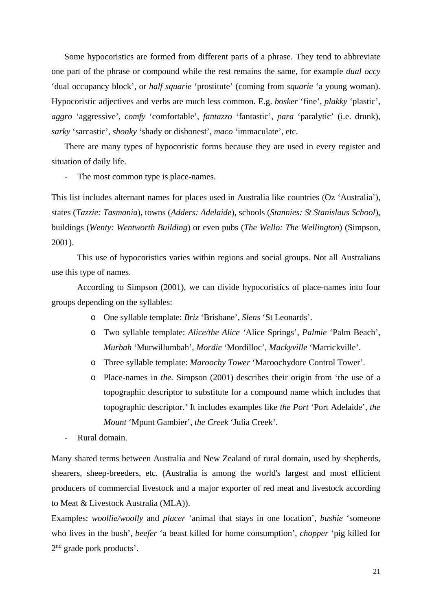Some hypocoristics are formed from different parts of a phrase. They tend to abbreviate one part of the phrase or compound while the rest remains the same, for example *dual occy*  'dual occupancy block', or *half squarie* 'prostitute' (coming from *squarie* 'a young woman). Hypocoristic adjectives and verbs are much less common. E.g. *bosker* 'fine', *plakky* 'plastic', *aggro* 'aggressive', *comfy* 'comfortable', *fantazzo* 'fantastic', *para* 'paralytic' (i.e. drunk), *sarky* 'sarcastic', *shonky* 'shady or dishonest', *maco* 'immaculate', etc.

There are many types of hypocoristic forms because they are used in every register and situation of daily life.

- The most common type is place-names.

This list includes alternant names for places used in Australia like countries (Oz 'Australia'), states (*Tazzie: Tasmania*), towns (*Adders: Adelaide*), schools (*Stannies: St Stanislaus School*), buildings (*Wenty: Wentworth Building*) or even pubs (*The Wello: The Wellington*) (Simpson, 2001).

This use of hypocoristics varies within regions and social groups. Not all Australians use this type of names.

According to Simpson (2001), we can divide hypocoristics of place-names into four groups depending on the syllables:

- o One syllable template: *Briz* 'Brisbane', *Slens* 'St Leonards'.
- o Two syllable template: *Alice/the Alice '*Alice Springs', *Palmie* 'Palm Beach', *Murbah* 'Murwillumbah', *Mordie* 'Mordilloc', *Mackyville* 'Marrickville'.
- o Three syllable template: *Maroochy Tower* 'Maroochydore Control Tower'.
- o Place-names in *the.* Simpson (2001) describes their origin from 'the use of a topographic descriptor to substitute for a compound name which includes that topographic descriptor.' It includes examples like *the Port* 'Port Adelaide', *the Mount* 'Mpunt Gambier', *the Creek* 'Julia Creek'.
- Rural domain.

Many shared terms between Australia and New Zealand of rural domain, used by shepherds, shearers, sheep-breeders, etc. (Australia is among the world's largest and most efficient producers of commercial livestock and a major exporter of red meat and livestock according to Meat & Livestock Australia (MLA)).

Examples: *woollie/woolly* and *placer* 'animal that stays in one location', *bushie* 'someone who lives in the bush', *beefer* 'a beast killed for home consumption', *chopper* 'pig killed for 2<sup>nd</sup> grade pork products'.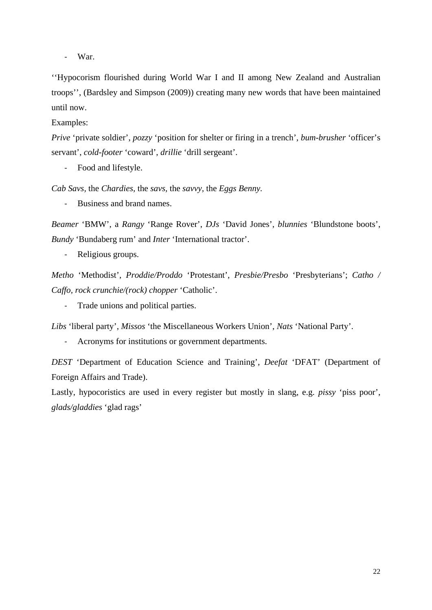- War.

''Hypocorism flourished during World War I and II among New Zealand and Australian troops'', (Bardsley and Simpson (2009)) creating many new words that have been maintained until now.

Examples:

*Prive* 'private soldier', *pozzy* 'position for shelter or firing in a trench', *bum-brusher* 'officer's servant', *cold-footer* 'coward', *drillie* 'drill sergeant'.

- Food and lifestyle.

*Cab Savs,* the *Chardies,* the *savs,* the *savvy,* the *Eggs Benny.*

- Business and brand names.

*Beamer* 'BMW', a *Rangy* 'Range Rover', *DJs* 'David Jones', *blunnies* 'Blundstone boots', *Bundy* 'Bundaberg rum' and *Inter* 'International tractor'.

- Religious groups.

*Metho* 'Methodist', *Proddie/Proddo* 'Protestant', *Presbie/Presbo* 'Presbyterians'; *Catho / Caffo, rock crunchie/(rock) chopper* 'Catholic'.

- Trade unions and political parties.

*Libs* 'liberal party', *Missos* 'the Miscellaneous Workers Union', *Nats* 'National Party'.

- Acronyms for institutions or government departments.

*DEST* 'Department of Education Science and Training', *Deefat* 'DFAT' (Department of Foreign Affairs and Trade).

Lastly, hypocoristics are used in every register but mostly in slang, e.g. *pissy* 'piss poor', *glads/gladdies* 'glad rags'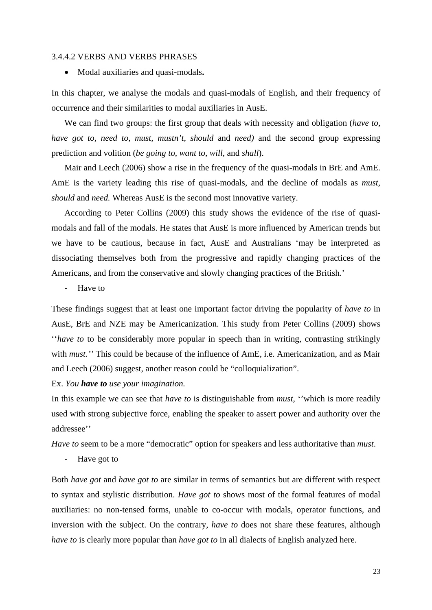#### 3.4.4.2 VERBS AND VERBS PHRASES

• Modal auxiliaries and quasi-modals**.** 

In this chapter, we analyse the modals and quasi-modals of English, and their frequency of occurrence and their similarities to modal auxiliaries in AusE.

We can find two groups: the first group that deals with necessity and obligation (*have to, have got to, need to, must, mustn't, should and need)* and the second group expressing prediction and volition (*be going to*, *want to*, *will*, and *shall*).

Mair and Leech (2006) show a rise in the frequency of the quasi-modals in BrE and AmE. AmE is the variety leading this rise of quasi-modals, and the decline of modals as *must, should* and *need.* Whereas AusE is the second most innovative variety.

According to Peter Collins (2009) this study shows the evidence of the rise of quasimodals and fall of the modals. He states that AusE is more influenced by American trends but we have to be cautious, because in fact, AusE and Australians 'may be interpreted as dissociating themselves both from the progressive and rapidly changing practices of the Americans, and from the conservative and slowly changing practices of the British.'

- Have to

These findings suggest that at least one important factor driving the popularity of *have to* in AusE, BrE and NZE may be Americanization. This study from Peter Collins (2009) shows ''*have to* to be considerably more popular in speech than in writing, contrasting strikingly with *must.''* This could be because of the influence of AmE, i.e. Americanization, and as Mair and Leech (2006) suggest, another reason could be "colloquialization".

Ex. *You have to use your imagination.* 

In this example we can see that *have to* is distinguishable from *must*, ''which is more readily used with strong subjective force, enabling the speaker to assert power and authority over the addressee''

*Have to* seem to be a more "democratic" option for speakers and less authoritative than *must*.

- Have got to

Both *have got* and *have got to* are similar in terms of semantics but are different with respect to syntax and stylistic distribution. *Have got to* shows most of the formal features of modal auxiliaries: no non-tensed forms, unable to co-occur with modals, operator functions, and inversion with the subject. On the contrary, *have to* does not share these features, although *have to* is clearly more popular than *have got to* in all dialects of English analyzed here.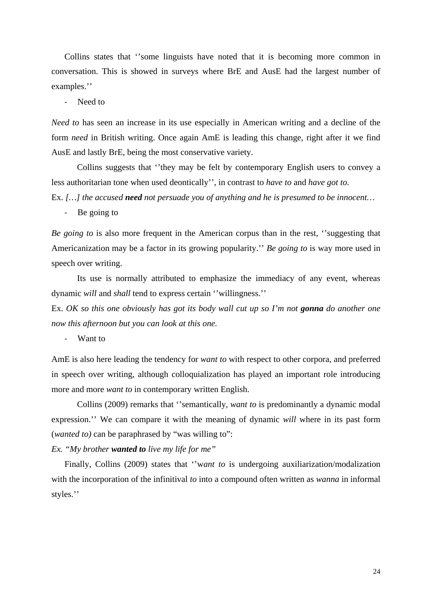Collins states that ''some linguists have noted that it is becoming more common in conversation. This is showed in surveys where BrE and AusE had the largest number of examples.''

- Need to

*Need to* has seen an increase in its use especially in American writing and a decline of the form *need* in British writing. Once again AmE is leading this change, right after it we find AusE and lastly BrE, being the most conservative variety.

Collins suggests that ''they may be felt by contemporary English users to convey a less authoritarian tone when used deontically'', in contrast to *have to* and *have got to.* 

Ex. *[…] the accused need not persuade you of anything and he is presumed to be innocent…*

- Be going to

*Be going to* is also more frequent in the American corpus than in the rest, ''suggesting that Americanization may be a factor in its growing popularity.'' *Be going to* is way more used in speech over writing.

Its use is normally attributed to emphasize the immediacy of any event, whereas dynamic *will* and *shall* tend to express certain ''willingness.''

Ex. *OK so this one obviously has got its body wall cut up so I'm not gonna do another one now this afternoon but you can look at this one.*

- Want to

AmE is also here leading the tendency for *want to* with respect to other corpora, and preferred in speech over writing, although colloquialization has played an important role introducing more and more *want to* in contemporary written English.

Collins (2009) remarks that ''semantically, *want to* is predominantly a dynamic modal expression.'' We can compare it with the meaning of dynamic *will* where in its past form (*wanted to)* can be paraphrased by "was willing to":

*Ex. "My brother wanted to live my life for me"*

Finally, Collins (2009) states that ''w*ant to* is undergoing auxiliarization/modalization with the incorporation of the infinitival *to* into a compound often written as *wanna* in informal styles.''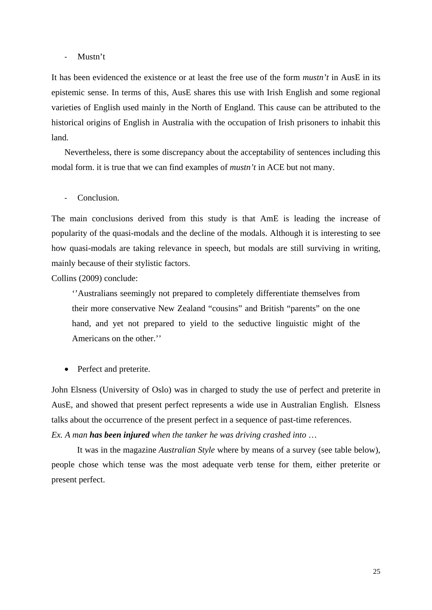#### - Mustn't

It has been evidenced the existence or at least the free use of the form *mustn't* in AusE in its epistemic sense. In terms of this, AusE shares this use with Irish English and some regional varieties of English used mainly in the North of England. This cause can be attributed to the historical origins of English in Australia with the occupation of Irish prisoners to inhabit this land.

Nevertheless, there is some discrepancy about the acceptability of sentences including this modal form. it is true that we can find examples of *mustn't* in ACE but not many.

Conclusion.

The main conclusions derived from this study is that AmE is leading the increase of popularity of the quasi-modals and the decline of the modals. Although it is interesting to see how quasi-modals are taking relevance in speech, but modals are still surviving in writing, mainly because of their stylistic factors.

Collins (2009) conclude:

''Australians seemingly not prepared to completely differentiate themselves from their more conservative New Zealand "cousins" and British "parents" on the one hand, and yet not prepared to yield to the seductive linguistic might of the Americans on the other.''

• Perfect and preterite.

John Elsness (University of Oslo) was in charged to study the use of perfect and preterite in AusE, and showed that present perfect represents a wide use in Australian English. Elsness talks about the occurrence of the present perfect in a sequence of past-time references. *Ex. A man has been injured when the tanker he was driving crashed into* …

It was in the magazine *Australian Style* where by means of a survey (see table below), people chose which tense was the most adequate verb tense for them, either preterite or present perfect.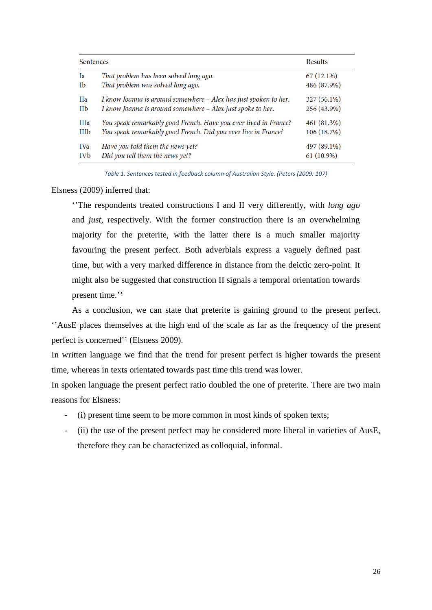| <b>Sentences</b> |                                                                  | <b>Results</b> |
|------------------|------------------------------------------------------------------|----------------|
| Ia               | That problem has been solved long ago.                           | $67(12.1\%)$   |
| Ib               | That problem was solved long ago.                                | 486 (87.9%)    |
| Ha               | I know Joanna is around somewhere - Alex has just spoken to her. | 327 (56.1%)    |
| <b>IIb</b>       | I know Joanna is around somewhere - Alex just spoke to her.      | 256 (43.9%)    |
| <b>IIIa</b>      | You speak remarkably good French. Have you ever lived in France? | 461 (81.3%)    |
| <b>IIIb</b>      | You speak remarkably good French. Did you ever live in France?   | 106 (18.7%)    |
| <b>IVa</b>       | Have you told them the news yet?                                 | 497 (89.1%)    |
| IVb              | Did you tell them the news yet?                                  | $61(10.9\%)$   |

*Table 1. Sentences tested in feedback column of Australian Style. (Peters (2009: 107)*

Elsness (2009) inferred that:

''The respondents treated constructions I and II very differently, with *long ago* and *just*, respectively. With the former construction there is an overwhelming majority for the preterite, with the latter there is a much smaller majority favouring the present perfect. Both adverbials express a vaguely defined past time, but with a very marked difference in distance from the deictic zero-point. It might also be suggested that construction II signals a temporal orientation towards present time.''

As a conclusion, we can state that preterite is gaining ground to the present perfect. ''AusE places themselves at the high end of the scale as far as the frequency of the present perfect is concerned'' (Elsness 2009).

In written language we find that the trend for present perfect is higher towards the present time, whereas in texts orientated towards past time this trend was lower.

In spoken language the present perfect ratio doubled the one of preterite. There are two main reasons for Elsness:

- (i) present time seem to be more common in most kinds of spoken texts;
- (ii) the use of the present perfect may be considered more liberal in varieties of AusE, therefore they can be characterized as colloquial, informal.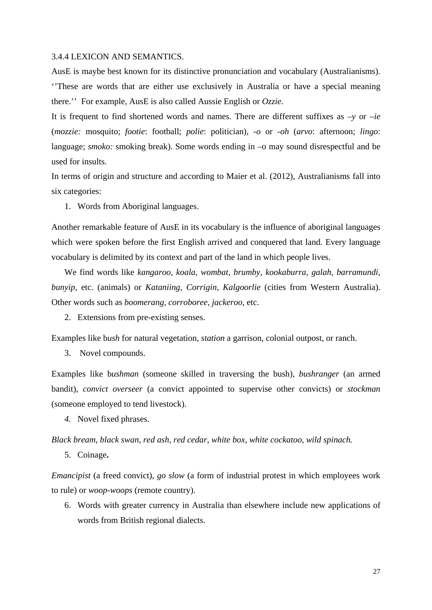#### 3.4.4 LEXICON AND SEMANTICS.

AusE is maybe best known for its distinctive pronunciation and vocabulary (Australianisms). ''These are words that are either use exclusively in Australia or have a special meaning there.'' For example, AusE is also called Aussie English or *Ozzie*.

It is frequent to find shortened words and names. There are different suffixes as *–y* or *–ie*  (*mozzie:* mosquito; *footie*: football; *polie*: politician), *-o* or -*oh* (*arvo*: afternoon; *lingo*: language; *smoko:* smoking break). Some words ending in  $-\text{o}$  may sound disrespectful and be used for insults.

In terms of origin and structure and according to Maier et al. (2012), Australianisms fall into six categories:

1. Words from Aboriginal languages.

Another remarkable feature of AusE in its vocabulary is the influence of aboriginal languages which were spoken before the first English arrived and conquered that land. Every language vocabulary is delimited by its context and part of the land in which people lives.

We find words like *kangaroo, koala, wombat, brumby, kookaburra, galah, barramundi, bunyip*, etc. (animals) or *Kataniing, Corrigin, Kalgoorlie* (cities from Western Australia). Other words such as *boomerang, corroboree, jackeroo*, etc.

2. Extensions from pre-existing senses.

Examples like b*ush* for natural vegetation, *station* a garrison, colonial outpost, or ranch.

3. Novel compounds.

Examples like b*ushman* (someone skilled in traversing the bush), *bushranger* (an armed bandit), *convict overseer* (a convict appointed to supervise other convicts) or *stockman* (someone employed to tend livestock).

*4.* Novel fixed phrases.

*Black bream, black swan, red ash, red cedar, white box, white cockatoo, wild spinach.*

5. Coinage**.** 

*Emancipist* (a freed convict), *go slow* (a form of industrial protest in which employees work to rule) or *woop-woops* (remote country).

6. Words with greater currency in Australia than elsewhere include new applications of words from British regional dialects.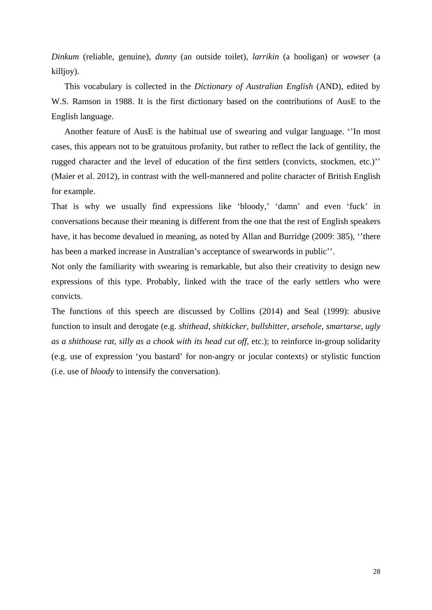*Dinkum* (reliable, genuine), *dunny* (an outside toilet), *larrikin* (a hooligan) or *wowser* (a killjoy).

This vocabulary is collected in the *Dictionary of Australian English* (AND), edited by W.S. Ramson in 1988. It is the first dictionary based on the contributions of AusE to the English language.

Another feature of AusE is the habitual use of swearing and vulgar language. ''In most cases, this appears not to be gratuitous profanity, but rather to reflect the lack of gentility, the rugged character and the level of education of the first settlers (convicts, stockmen, etc.)'' (Maier et al. 2012), in contrast with the well-mannered and polite character of British English for example.

That is why we usually find expressions like 'bloody,' 'damn' and even 'fuck' in conversations because their meaning is different from the one that the rest of English speakers have, it has become devalued in meaning, as noted by Allan and Burridge (2009: 385), ''there has been a marked increase in Australian's acceptance of swearwords in public''.

Not only the familiarity with swearing is remarkable, but also their creativity to design new expressions of this type. Probably, linked with the trace of the early settlers who were convicts.

The functions of this speech are discussed by Collins (2014) and Seal (1999): abusive function to insult and derogate (e.g. *shithead, shitkicker, bullshitter, arsehole, smartarse, ugly as a shithouse rat, silly as a chook with its head cut off,* etc.); to reinforce in-group solidarity (e.g. use of expression 'you bastard' for non-angry or jocular contexts) or stylistic function (i.e. use of *bloody* to intensify the conversation).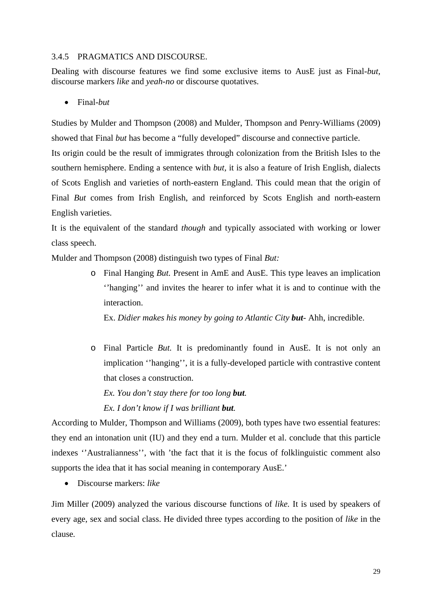#### 3.4.5 PRAGMATICS AND DISCOURSE.

Dealing with discourse features we find some exclusive items to AusE just as Final-*but,*  discourse markers *like* and *yeah-no* or discourse quotatives.

• Final-*but*

Studies by Mulder and Thompson (2008) and Mulder, Thompson and Penry-Williams (2009) showed that Final *but* has become a "fully developed" discourse and connective particle.

Its origin could be the result of immigrates through colonization from the British Isles to the southern hemisphere. Ending a sentence with *but,* it is also a feature of Irish English, dialects of Scots English and varieties of north-eastern England. This could mean that the origin of Final *But* comes from Irish English, and reinforced by Scots English and north-eastern English varieties.

It is the equivalent of the standard *though* and typically associated with working or lower class speech.

Mulder and Thompson (2008) distinguish two types of Final *But:* 

o Final Hanging *But.* Present in AmE and AusE. This type leaves an implication ''hanging'' and invites the hearer to infer what it is and to continue with the interaction.

Ex. *Didier makes his money by going to Atlantic City but-* Ahh, incredible.

o Final Particle *But.* It is predominantly found in AusE. It is not only an implication ''hanging'', it is a fully-developed particle with contrastive content that closes a construction.

*Ex. You don't stay there for too long but. Ex. I don't know if I was brilliant but.* 

According to Mulder, Thompson and Williams (2009), both types have two essential features: they end an intonation unit (IU) and they end a turn. Mulder et al. conclude that this particle indexes ''Australianness'', with 'the fact that it is the focus of folklinguistic comment also supports the idea that it has social meaning in contemporary AusE.'

• Discourse markers: *like*

Jim Miller (2009) analyzed the various discourse functions of *like.* It is used by speakers of every age, sex and social class. He divided three types according to the position of *like* in the clause*.*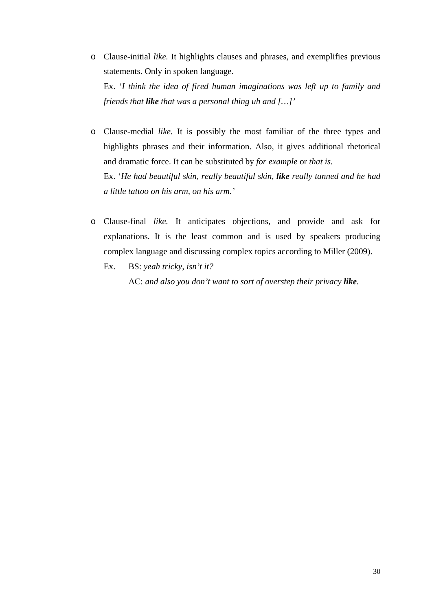- o Clause-initial *like.* It highlights clauses and phrases, and exemplifies previous statements. Only in spoken language. Ex. '*I think the idea of fired human imaginations was left up to family and friends that like that was a personal thing uh and […]'*
- o Clause-medial *like.* It is possibly the most familiar of the three types and highlights phrases and their information. Also, it gives additional rhetorical and dramatic force. It can be substituted by *for example* or *that is.* Ex. '*He had beautiful skin, really beautiful skin, like really tanned and he had a little tattoo on his arm, on his arm.'*
- o Clause-final *like.* It anticipates objections, and provide and ask for explanations. It is the least common and is used by speakers producing complex language and discussing complex topics according to Miller (2009).
	- Ex. BS: *yeah tricky, isn't it?* AC: *and also you don't want to sort of overstep their privacy like.*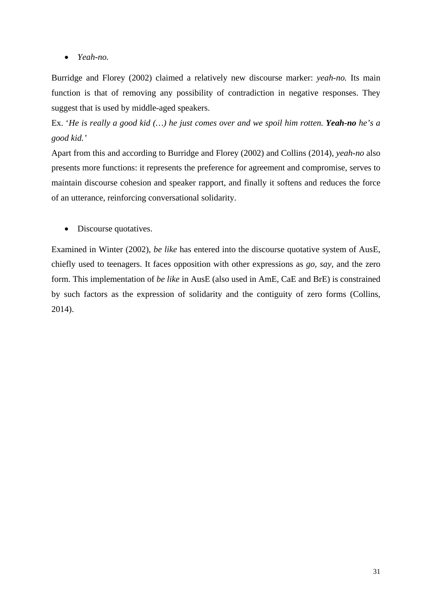• *Yeah-no.*

Burridge and Florey (2002) claimed a relatively new discourse marker: *yeah-no.* Its main function is that of removing any possibility of contradiction in negative responses. They suggest that is used by middle-aged speakers.

Ex. '*He is really a good kid (…) he just comes over and we spoil him rotten. Yeah-no he's a good kid.'*

Apart from this and according to Burridge and Florey (2002) and Collins (2014), *yeah-no* also presents more functions: it represents the preference for agreement and compromise, serves to maintain discourse cohesion and speaker rapport, and finally it softens and reduces the force of an utterance, reinforcing conversational solidarity.

• Discourse quotatives.

Examined in Winter (2002), *be like* has entered into the discourse quotative system of AusE, chiefly used to teenagers. It faces opposition with other expressions as *go, say,* and the zero form. This implementation of *be like* in AusE (also used in AmE, CaE and BrE) is constrained by such factors as the expression of solidarity and the contiguity of zero forms (Collins, 2014).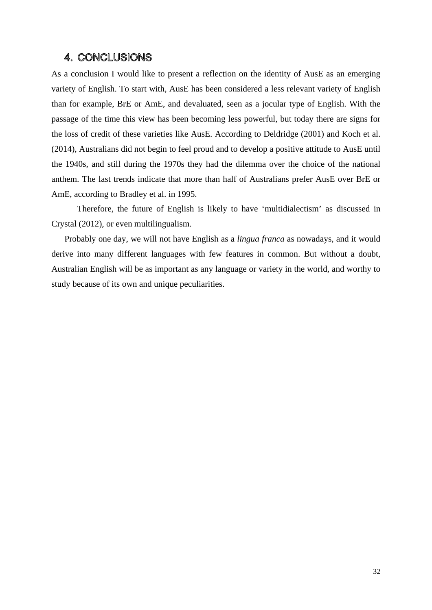#### 4. CONCLUSIONS

As a conclusion I would like to present a reflection on the identity of AusE as an emerging variety of English. To start with, AusE has been considered a less relevant variety of English than for example, BrE or AmE, and devaluated, seen as a jocular type of English. With the passage of the time this view has been becoming less powerful, but today there are signs for the loss of credit of these varieties like AusE. According to Deldridge (2001) and Koch et al. (2014), Australians did not begin to feel proud and to develop a positive attitude to AusE until the 1940s, and still during the 1970s they had the dilemma over the choice of the national anthem. The last trends indicate that more than half of Australians prefer AusE over BrE or AmE, according to Bradley et al. in 1995.

Therefore, the future of English is likely to have 'multidialectism' as discussed in Crystal (2012), or even multilingualism.

Probably one day, we will not have English as a *lingua franca* as nowadays, and it would derive into many different languages with few features in common. But without a doubt, Australian English will be as important as any language or variety in the world, and worthy to study because of its own and unique peculiarities.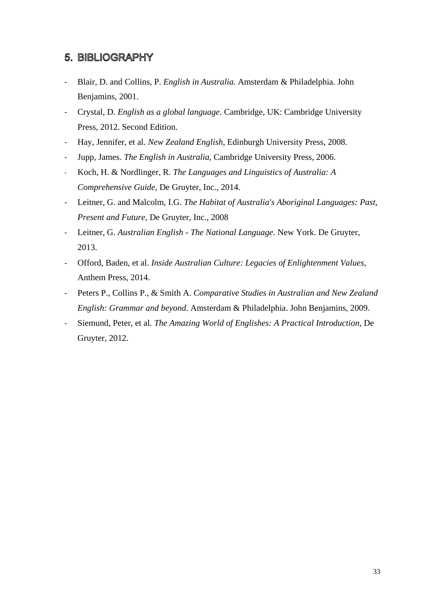## 5. BIBLIOGRAPHY

- Blair, D. and Collins, P. *English in Australia.* Amsterdam & Philadelphia. John Benjamins, 2001.
- Crystal, D. *English as a global language*. Cambridge, UK: Cambridge University Press, 2012. Second Edition.
- Hay, Jennifer, et al. *New Zealand English*, Edinburgh University Press, 2008.
- Jupp, James. *The English in Australia*, Cambridge University Press, 2006.
- Koch, H. & Nordlinger, R. *The Languages and Linguistics of Australia: A Comprehensive Guide,* De Gruyter, Inc., 2014.
- Leitner, G. and Malcolm, I.G. *The Habitat of Australia's Aboriginal Languages: Past, Present and Future*, De Gruyter, Inc., 2008
- Leitner, G. *Australian English - The National Language.* New York. De Gruyter, 2013.
- Offord, Baden, et al. *Inside Australian Culture: Legacies of Enlightenment Values,*  Anthem Press, 2014.
- Peters P., Collins P., & Smith A. *Comparative Studies in Australian and New Zealand English: Grammar and beyond*. Amsterdam & Philadelphia. John Benjamins, 2009.
- Siemund, Peter, et al*. The Amazing World of Englishes: A Practical Introduction,* De Gruyter, 2012.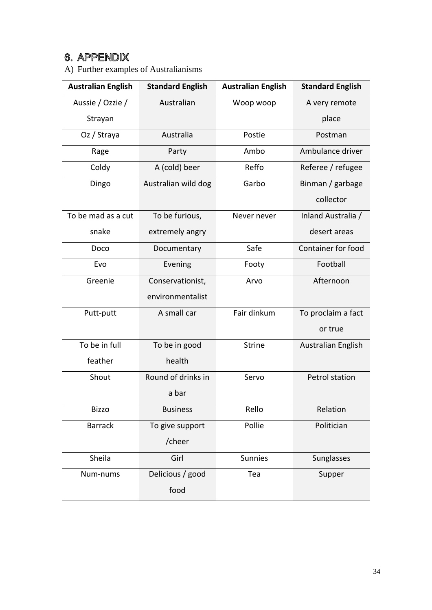## 6. APPENDIX

A) Further examples of Australianisms

| <b>Australian English</b> | <b>Standard English</b> | <b>Australian English</b> | <b>Standard English</b> |
|---------------------------|-------------------------|---------------------------|-------------------------|
| Aussie / Ozzie /          | Australian              | Woop woop                 | A very remote           |
| Strayan                   |                         |                           | place                   |
| Oz / Straya               | Australia               | Postie                    | Postman                 |
| Rage                      | Party                   | Ambo                      | Ambulance driver        |
| Coldy                     | A (cold) beer           | Reffo                     | Referee / refugee       |
| Dingo                     | Australian wild dog     | Garbo                     | Binman / garbage        |
|                           |                         |                           | collector               |
| To be mad as a cut        | To be furious,          | Never never               | Inland Australia /      |
| snake                     | extremely angry         |                           | desert areas            |
| Doco                      | Documentary             | Safe                      | Container for food      |
| Evo                       | Evening                 | Footy                     | Football                |
| Greenie                   | Conservationist,        | Arvo                      | Afternoon               |
|                           | environmentalist        |                           |                         |
| Putt-putt                 | A small car             | Fair dinkum               | To proclaim a fact      |
|                           |                         |                           | or true                 |
| To be in full             | To be in good           | <b>Strine</b>             | Australian English      |
| feather                   | health                  |                           |                         |
| Shout                     | Round of drinks in      | Servo                     | Petrol station          |
|                           | a bar                   |                           |                         |
| <b>Bizzo</b>              | <b>Business</b>         | Rello                     | Relation                |
| <b>Barrack</b>            | To give support         | Pollie                    | Politician              |
|                           | /cheer                  |                           |                         |
| Sheila                    | Girl                    | Sunnies                   | Sunglasses              |
| Num-nums                  | Delicious / good        | Tea                       | Supper                  |
|                           | food                    |                           |                         |